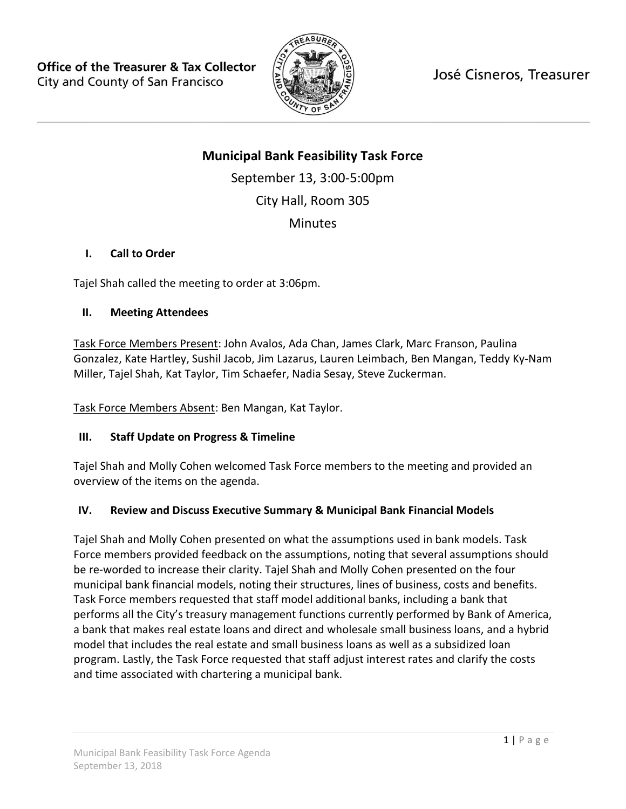

José Cisneros, Treasurer

# **Municipal Bank Feasibility Task Force**

September 13, 3:00-5:00pm City Hall, Room 305 **Minutes** 

### **I. Call to Order**

Tajel Shah called the meeting to order at 3:06pm.

### **II. Meeting Attendees**

Task Force Members Present: John Avalos, Ada Chan, James Clark, Marc Franson, Paulina Gonzalez, Kate Hartley, Sushil Jacob, Jim Lazarus, Lauren Leimbach, Ben Mangan, Teddy Ky-Nam Miller, Tajel Shah, Kat Taylor, Tim Schaefer, Nadia Sesay, Steve Zuckerman.

Task Force Members Absent: Ben Mangan, Kat Taylor.

# **III. Staff Update on Progress & Timeline**

Tajel Shah and Molly Cohen welcomed Task Force members to the meeting and provided an overview of the items on the agenda.

# **IV. Review and Discuss Executive Summary & Municipal Bank Financial Models**

Tajel Shah and Molly Cohen presented on what the assumptions used in bank models. Task Force members provided feedback on the assumptions, noting that several assumptions should be re-worded to increase their clarity. Tajel Shah and Molly Cohen presented on the four municipal bank financial models, noting their structures, lines of business, costs and benefits. Task Force members requested that staff model additional banks, including a bank that performs all the City's treasury management functions currently performed by Bank of America, a bank that makes real estate loans and direct and wholesale small business loans, and a hybrid model that includes the real estate and small business loans as well as a subsidized loan program. Lastly, the Task Force requested that staff adjust interest rates and clarify the costs and time associated with chartering a municipal bank.